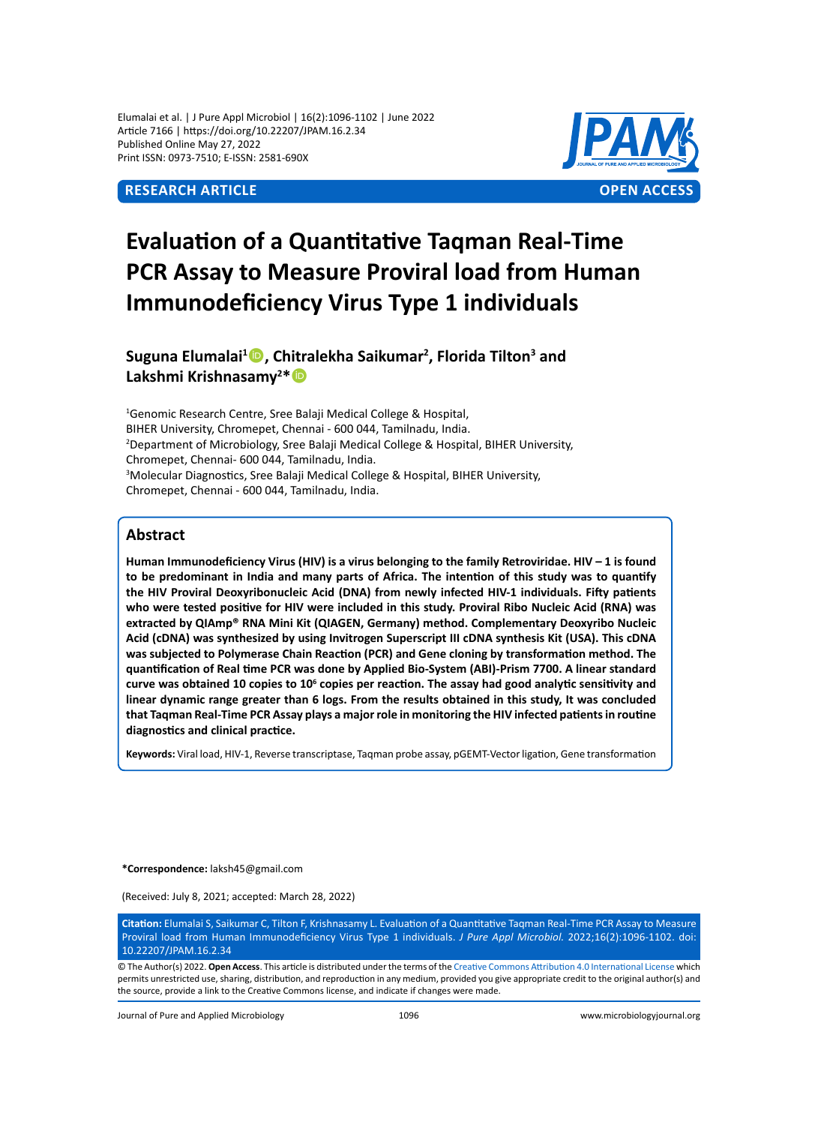Elumalai et al. | J Pure Appl Microbiol | 16(2):1096-1102 | June 2022 Article 7166 | https://doi.org/10.22207/JPAM.16.2.34 Published Online May 27, 2022 Print ISSN: 0973-7510; E-ISSN: 2581-690X



# **Evaluation of a Quantitative Taqman Real-Time PCR Assay to Measure Proviral load from Human Immunodeficiency Virus Type 1 individuals**

# **Suguna Elumalai1 , Chitralekha Saikumar<sup>2</sup> , Florida Tilton3 and Lakshmi Krishnasamy<sup>2</sup> \***

1 Genomic Research Centre, Sree Balaji Medical College & Hospital, BIHER University, Chromepet, Chennai - 600 044, Tamilnadu, India. 2 Department of Microbiology, Sree Balaji Medical College & Hospital, BIHER University, Chromepet, Chennai- 600 044, Tamilnadu, India. 3 Molecular Diagnostics, Sree Balaji Medical College & Hospital, BIHER University, Chromepet, Chennai - 600 044, Tamilnadu, India.

# **Abstract**

**Human Immunodeficiency Virus (HIV) is a virus belonging to the family Retroviridae. HIV – 1 is found to be predominant in India and many parts of Africa. The intention of this study was to quantify the HIV Proviral Deoxyribonucleic Acid (DNA) from newly infected HIV-1 individuals. Fifty patients who were tested positive for HIV were included in this study. Proviral Ribo Nucleic Acid (RNA) was extracted by QIAmp® RNA Mini Kit (QIAGEN, Germany) method. Complementary Deoxyribo Nucleic Acid (cDNA) was synthesized by using Invitrogen Superscript III cDNA synthesis Kit (USA). This cDNA was subjected to Polymerase Chain Reaction (PCR) and Gene cloning by transformation method. The quantification of Real time PCR was done by Applied Bio-System (ABI)-Prism 7700. A linear standard curve was obtained 10 copies to 10<sup>6</sup> copies per reaction. The assay had good analytic sensitivity and linear dynamic range greater than 6 logs. From the results obtained in this study, It was concluded that Taqman Real-Time PCR Assay plays a major role in monitoring the HIV infected patients in routine diagnostics and clinical practice.**

**Keywords:** Viral load, HIV-1, Reverse transcriptase, Taqman probe assay, pGEMT-Vector ligation, Gene transformation

**\*Correspondence:** laksh45@gmail.com

(Received: July 8, 2021; accepted: March 28, 2022)

**Citation:** Elumalai S, Saikumar C, Tilton F, Krishnasamy L. Evaluation of a Quantitative Taqman Real-Time PCR Assay to Measure Proviral load from Human Immunodeficiency Virus Type 1 individuals. *J Pure Appl Microbiol.* 2022;16(2):1096-1102. doi: 10.22207/JPAM.16.2.34

© The Author(s) 2022. **Open Access**. This article is distributed under the terms of the [Creative Commons Attribution 4.0 International License](https://creativecommons.org/licenses/by/4.0/) which permits unrestricted use, sharing, distribution, and reproduction in any medium, provided you give appropriate credit to the original author(s) and the source, provide a link to the Creative Commons license, and indicate if changes were made.

Journal of Pure and Applied Microbiology 1096 www.microbiologyjournal.org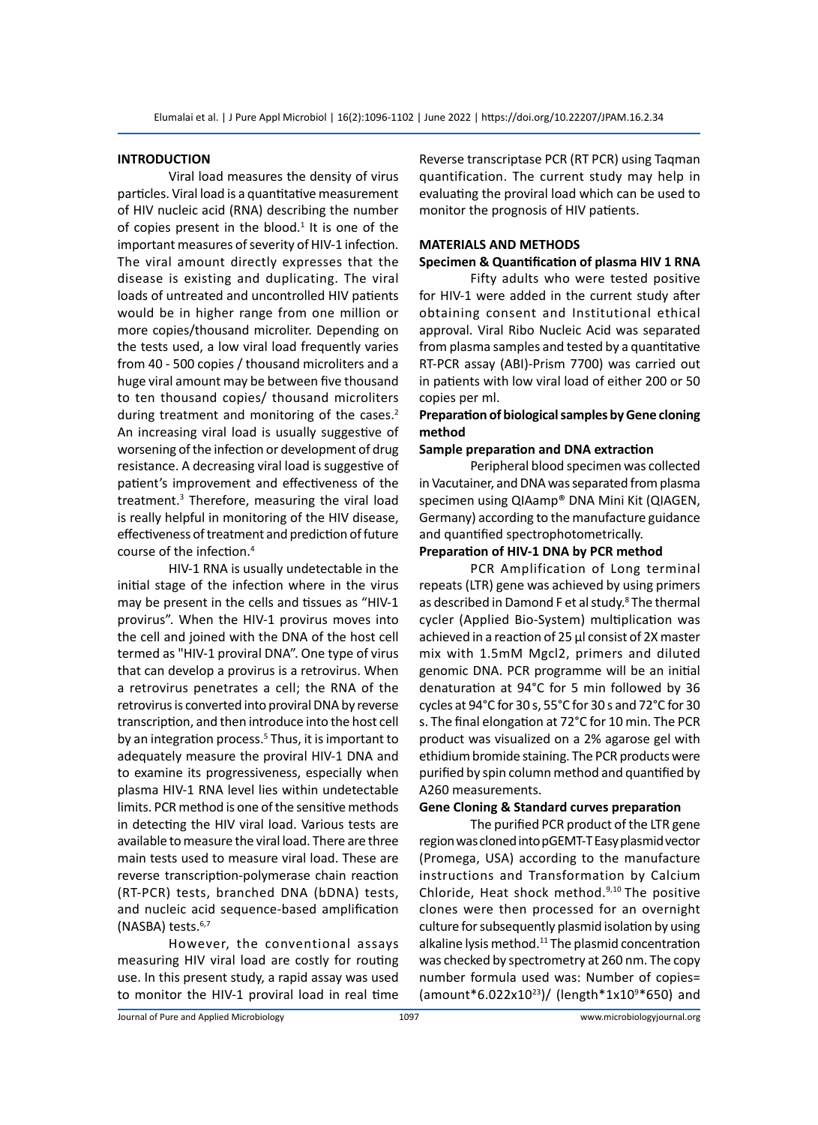# **INTRODUCTION**

Viral load measures the density of virus particles. Viral load is a quantitative measurement of HIV nucleic acid (RNA) describing the number of copies present in the blood. $1$  It is one of the important measures of severity of HIV-1 infection. The viral amount directly expresses that the disease is existing and duplicating. The viral loads of untreated and uncontrolled HIV patients would be in higher range from one million or more copies/thousand microliter. Depending on the tests used, a low viral load frequently varies from 40 - 500 copies / thousand microliters and a huge viral amount may be between five thousand to ten thousand copies/ thousand microliters during treatment and monitoring of the cases.<sup>2</sup> An increasing viral load is usually suggestive of worsening of the infection or development of drug resistance. A decreasing viral load is suggestive of patient's improvement and effectiveness of the treatment.<sup>3</sup> Therefore, measuring the viral load is really helpful in monitoring of the HIV disease, effectiveness of treatment and prediction of future course of the infection.<sup>4</sup>

HIV-1 RNA is usually undetectable in the initial stage of the infection where in the virus may be present in the cells and tissues as "HIV-1 provirus". When the HIV-1 provirus moves into the cell and joined with the DNA of the host cell termed as "HIV-1 proviral DNA". One type of virus that can develop a provirus is a retrovirus. When a retrovirus penetrates a cell; the RNA of the retrovirus is converted into proviral DNA by reverse transcription, and then introduce into the host cell by an integration process.<sup>5</sup> Thus, it is important to adequately measure the proviral HIV-1 DNA and to examine its progressiveness, especially when plasma HIV-1 RNA level lies within undetectable limits. PCR method is one of the sensitive methods in detecting the HIV viral load. Various tests are available to measure the viral load. There are three main tests used to measure viral load. These are reverse transcription-polymerase chain reaction (RT-PCR) tests, branched DNA (bDNA) tests, and nucleic acid sequence-based amplification (NASBA) tests. $6,7$ 

However, the conventional assays measuring HIV viral load are costly for routing use. In this present study, a rapid assay was used to monitor the HIV-1 proviral load in real time Reverse transcriptase PCR (RT PCR) using Taqman quantification. The current study may help in evaluating the proviral load which can be used to monitor the prognosis of HIV patients.

# **MATERIALS AND METHODS**

### **Specimen & Quantification of plasma HIV 1 RNA**

Fifty adults who were tested positive for HIV-1 were added in the current study after obtaining consent and Institutional ethical approval. Viral Ribo Nucleic Acid was separated from plasma samples and tested by a quantitative RT-PCR assay (ABI)-Prism 7700) was carried out in patients with low viral load of either 200 or 50 copies per ml.

# **Preparation of biological samples by Gene cloning method**

### **Sample preparation and DNA extraction**

Peripheral blood specimen was collected in Vacutainer, and DNA was separated from plasma specimen using QIAamp® DNA Mini Kit (QIAGEN, Germany) according to the manufacture guidance and quantified spectrophotometrically.

#### **Preparation of HIV-1 DNA by PCR method**

PCR Amplification of Long terminal repeats (LTR) gene was achieved by using primers as described in Damond F et al study.<sup>8</sup> The thermal cycler (Applied Bio-System) multiplication was achieved in a reaction of 25 μl consist of 2X master mix with 1.5mM Mgcl2, primers and diluted genomic DNA. PCR programme will be an initial denaturation at 94°C for 5 min followed by 36 cycles at 94°C for 30 s, 55°C for 30 s and 72°C for 30 s. The final elongation at 72°C for 10 min. The PCR product was visualized on a 2% agarose gel with ethidium bromide staining. The PCR products were purified by spin column method and quantified by A260 measurements.

# **Gene Cloning & Standard curves preparation**

The purified PCR product of the LTR gene region was cloned into pGEMT-T Easy plasmid vector (Promega, USA) according to the manufacture instructions and Transformation by Calcium Chloride, Heat shock method.9,10 The positive clones were then processed for an overnight culture for subsequently plasmid isolation by using alkaline lysis method.<sup>11</sup> The plasmid concentration was checked by spectrometry at 260 nm. The copy number formula used was: Number of copies= (amount\*6.022x10<sup>23</sup>)/ (length\*1x109 \*650) and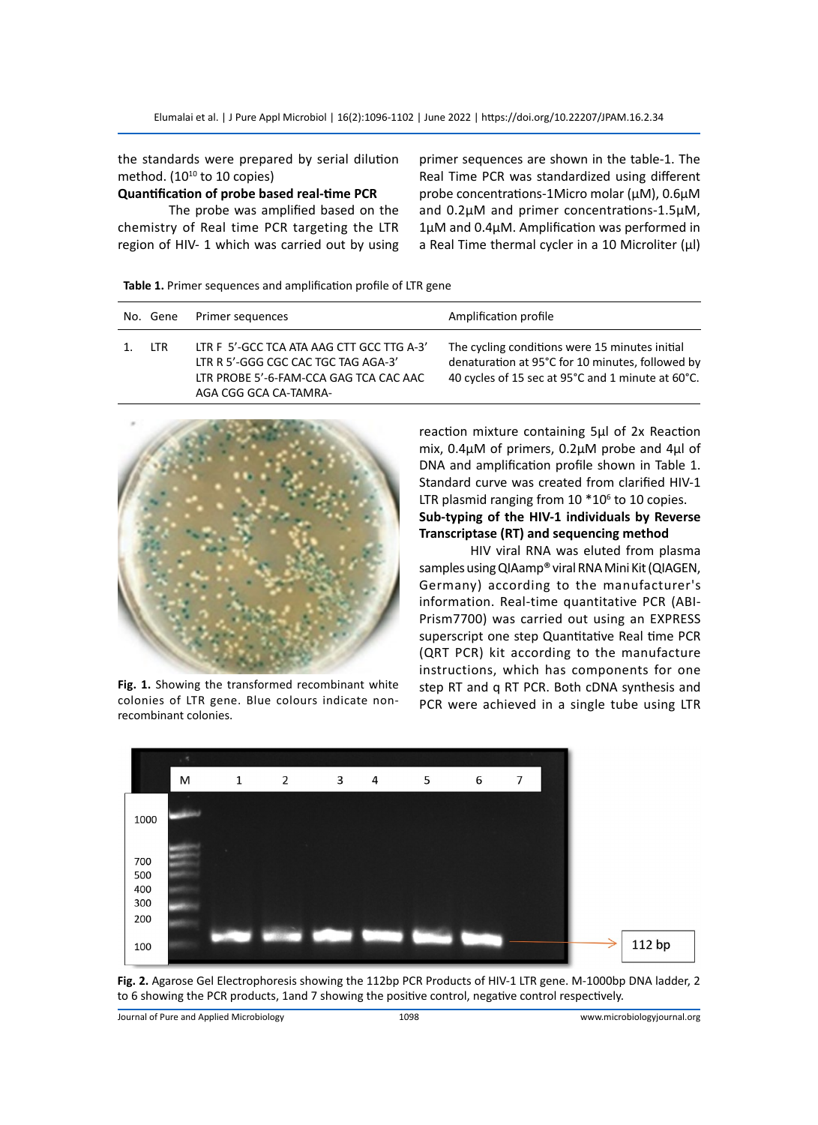the standards were prepared by serial dilution method.  $(10^{10}$  to 10 copies)

# **Quantification of probe based real-time PCR**

The probe was amplified based on the chemistry of Real time PCR targeting the LTR region of HIV- 1 which was carried out by using primer sequences are shown in the table-1. The Real Time PCR was standardized using different probe concentrations-1Micro molar (µM), 0.6µM and 0.2µM and primer concentrations-1.5µM, 1µM and 0.4µM. Amplification was performed in a Real Time thermal cycler in a 10 Microliter (μl)

|  |  |  | Table 1. Primer sequences and amplification profile of LTR gene |
|--|--|--|-----------------------------------------------------------------|
|--|--|--|-----------------------------------------------------------------|

|    |     | No. Gene Primer sequences                                                                                                                           | Amplification profile                                                                                                                                   |
|----|-----|-----------------------------------------------------------------------------------------------------------------------------------------------------|---------------------------------------------------------------------------------------------------------------------------------------------------------|
| 1. | LTR | LTR F 5'-GCC TCA ATA AAG CTT GCC TTG A-3'<br>LTR R 5'-GGG CGC CAC TGC TAG AGA-3'<br>LTR PROBE 5'-6-FAM-CCA GAG TCA CAC AAC<br>AGA CGG GCA CA-TAMRA- | The cycling conditions were 15 minutes initial<br>denaturation at 95°C for 10 minutes, followed by<br>40 cycles of 15 sec at 95°C and 1 minute at 60°C. |



**Fig. 1.** Showing the transformed recombinant white colonies of LTR gene. Blue colours indicate nonrecombinant colonies.

reaction mixture containing 5µl of 2x Reaction mix, 0.4µM of primers, 0.2µM probe and 4µl of DNA and amplification profile shown in Table 1. Standard curve was created from clarified HIV-1 LTR plasmid ranging from  $10*10<sup>6</sup>$  to 10 copies. **Sub-typing of the HIV-1 individuals by Reverse Transcriptase (RT) and sequencing method**

HIV viral RNA was eluted from plasma samples using QIAamp® viral RNA Mini Kit (QIAGEN, Germany) according to the manufacturer's information. Real-time quantitative PCR (ABI-Prism7700) was carried out using an EXPRESS superscript one step Quantitative Real time PCR (QRT PCR) kit according to the manufacture instructions, which has components for one step RT and q RT PCR. Both cDNA synthesis and PCR were achieved in a single tube using LTR



Fig. 2. Agarose Gel Electrophoresis showing the 112bp PCR Products of HIV-1 LTR gene. M-1000bp DNA ladder, 2 to 6 showing the PCR products, 1and 7 showing the positive control, negative control respectively.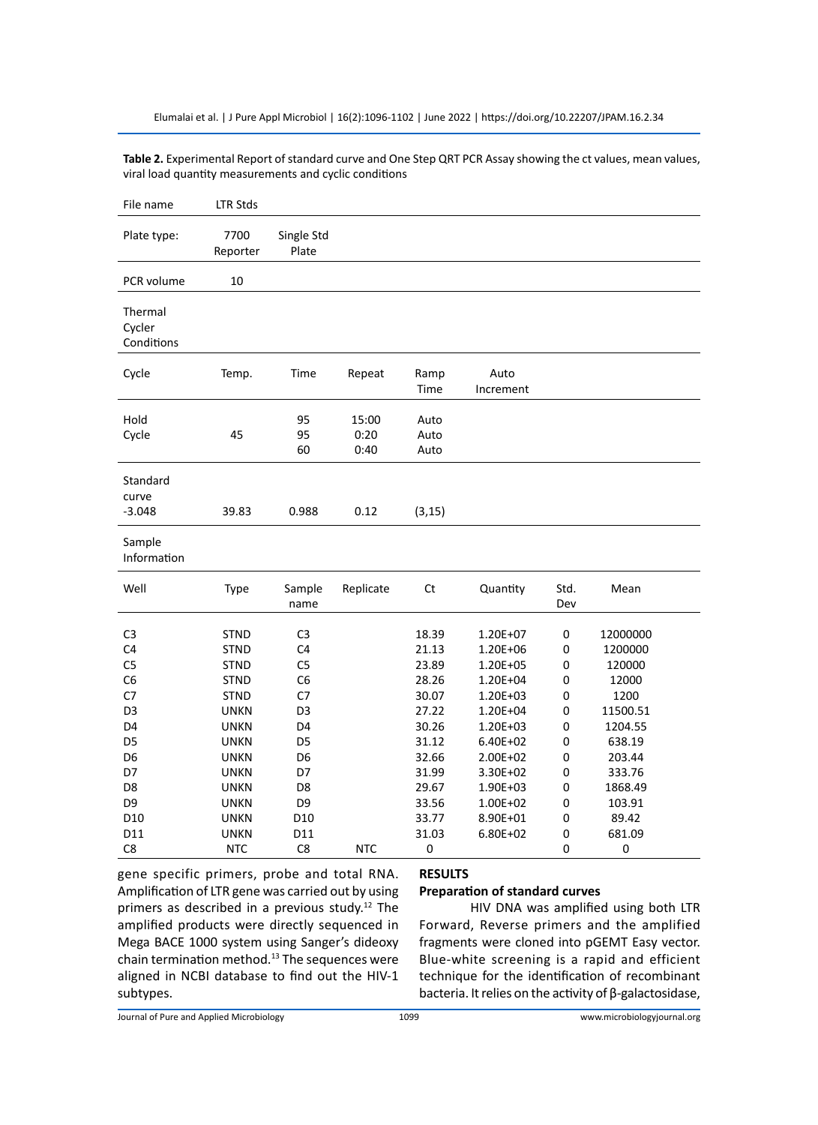**Table 2.** Experimental Report of standard curve and One Step QRT PCR Assay showing the ct values, mean values, viral load quantity measurements and cyclic conditions

| File name                       | <b>LTR Stds</b>  |                     |                       |                      |                   |             |           |
|---------------------------------|------------------|---------------------|-----------------------|----------------------|-------------------|-------------|-----------|
| Plate type:                     | 7700<br>Reporter | Single Std<br>Plate |                       |                      |                   |             |           |
| PCR volume                      | 10               |                     |                       |                      |                   |             |           |
| Thermal<br>Cycler<br>Conditions |                  |                     |                       |                      |                   |             |           |
| Cycle                           | Temp.            | Time                | Repeat                | Ramp<br>Time         | Auto<br>Increment |             |           |
| Hold<br>Cycle                   | 45               | 95<br>95<br>60      | 15:00<br>0:20<br>0:40 | Auto<br>Auto<br>Auto |                   |             |           |
| Standard<br>curve<br>$-3.048$   | 39.83            | 0.988               | 0.12                  | (3, 15)              |                   |             |           |
| Sample<br>Information           |                  |                     |                       |                      |                   |             |           |
| Well                            | Type             | Sample<br>name      | Replicate             | Ct                   | Quantity          | Std.<br>Dev | Mean      |
| C <sub>3</sub>                  | <b>STND</b>      | C <sub>3</sub>      |                       | 18.39                | $1.20E + 07$      | 0           | 12000000  |
| C <sub>4</sub>                  | STND             | C <sub>4</sub>      |                       | 21.13                | 1.20E+06          | 0           | 1200000   |
| C5                              | <b>STND</b>      | C <sub>5</sub>      |                       | 23.89                | 1.20E+05          | 0           | 120000    |
| C <sub>6</sub>                  | <b>STND</b>      | C <sub>6</sub>      |                       | 28.26                | 1.20E+04          | 0           | 12000     |
| C7                              | <b>STND</b>      | C7                  |                       | 30.07                | $1.20E + 03$      | $\mathbf 0$ | 1200      |
| D <sub>3</sub>                  | <b>UNKN</b>      | D3                  |                       | 27.22                | 1.20E+04          | 0           | 11500.51  |
| D4                              | <b>UNKN</b>      | D4                  |                       | 30.26                | $1.20E + 03$      | 0           | 1204.55   |
| D <sub>5</sub>                  | UNKN             | D <sub>5</sub>      |                       | 31.12                | $6.40E + 02$      | 0           | 638.19    |
| D <sub>6</sub>                  | <b>UNKN</b>      | D <sub>6</sub>      |                       | 32.66                | 2.00E+02          | 0           | 203.44    |
| D7                              | <b>UNKN</b>      | D7                  |                       | 31.99                | 3.30E+02          | 0           | 333.76    |
| D <sub>8</sub>                  | <b>UNKN</b>      | D <sub>8</sub>      |                       | 29.67                | 1.90E+03          | 0           | 1868.49   |
| D <sub>9</sub>                  | <b>UNKN</b>      | D <sub>9</sub>      |                       | 33.56                | $1.00E + 02$      | 0           | 103.91    |
| D <sub>10</sub>                 | <b>UNKN</b>      | D <sub>10</sub>     |                       | 33.77                | 8.90E+01          | 0           | 89.42     |
| D11                             | UNKN             | D11                 |                       | 31.03                | 6.80E+02          | 0           | 681.09    |
| C8                              | <b>NTC</b>       | C8                  | <b>NTC</b>            | 0                    |                   | 0           | $\pmb{0}$ |

gene specific primers, probe and total RNA. Amplification of LTR gene was carried out by using primers as described in a previous study.12 The amplified products were directly sequenced in Mega BACE 1000 system using Sanger's dideoxy chain termination method. $^{13}$  The sequences were aligned in NCBI database to find out the HIV-1 subtypes.

# **RESULTS**

# **Preparation of standard curves**

HIV DNA was amplified using both LTR Forward, Reverse primers and the amplified fragments were cloned into pGEMT Easy vector. Blue-white screening is a rapid and efficient technique for the identification of recombinant bacteria. It relies on the activity of β-galactosidase,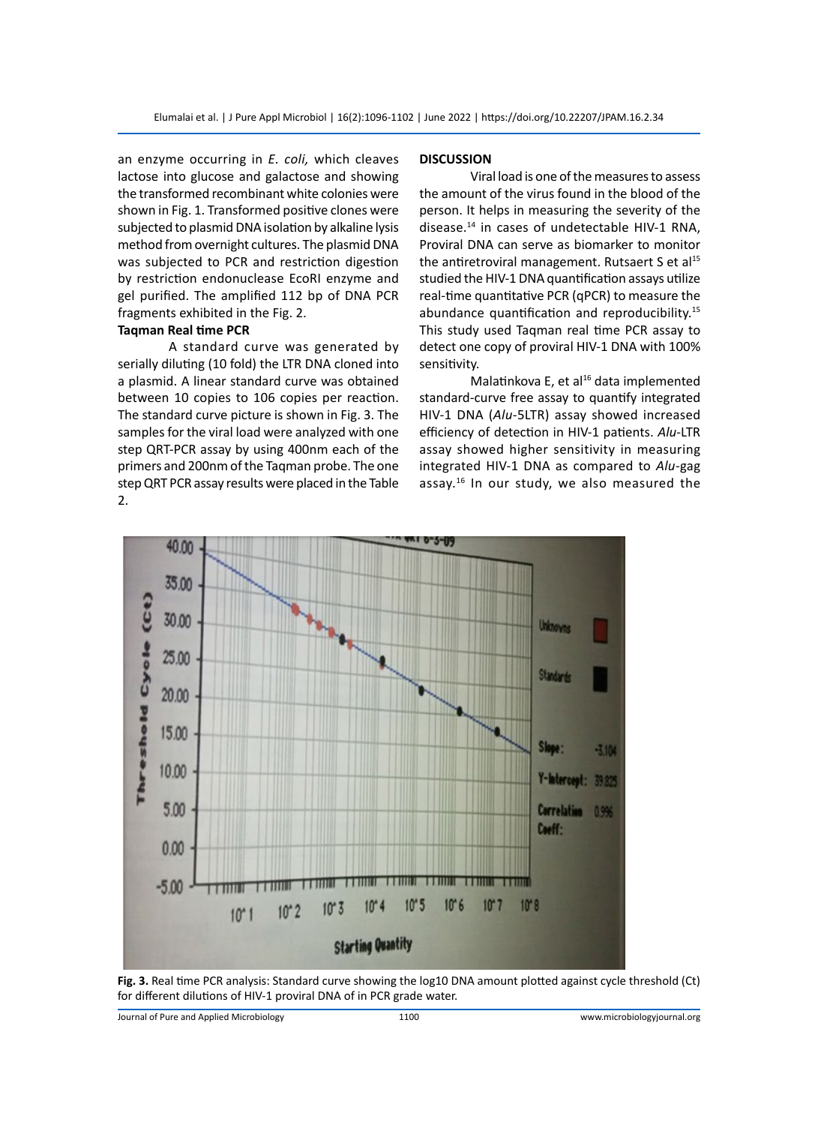an enzyme occurring in *E. coli,* which cleaves lactose into glucose and galactose and showing the transformed recombinant white colonies were shown in Fig. 1. Transformed positive clones were subjected to plasmid DNA isolation by alkaline lysis method from overnight cultures. The plasmid DNA was subjected to PCR and restriction digestion by restriction endonuclease EcoRI enzyme and gel purified. The amplified 112 bp of DNA PCR fragments exhibited in the Fig. 2.

# **Taqman Real time PCR**

A standard curve was generated by serially diluting (10 fold) the LTR DNA cloned into a plasmid. A linear standard curve was obtained between 10 copies to 106 copies per reaction. The standard curve picture is shown in Fig. 3. The samples for the viral load were analyzed with one step QRT-PCR assay by using 400nm each of the primers and 200nm of the Taqman probe. The one step QRT PCR assay results were placed in the Table 2.

#### **DISCUSSION**

Viral load is one of the measures to assess the amount of the virus found in the blood of the person. It helps in measuring the severity of the disease.14 in cases of undetectable HIV-1 RNA, Proviral DNA can serve as biomarker to monitor the antiretroviral management. Rutsaert S et al $^{15}$ studied the HIV-1 DNA quantification assays utilize real-time quantitative PCR (qPCR) to measure the abundance quantification and reproducibility.<sup>15</sup> This study used Taqman real time PCR assay to detect one copy of proviral HIV-1 DNA with 100% sensitivity.

Malatinkova E, et al $^{16}$  data implemented standard-curve free assay to quantify integrated HIV-1 DNA (*Alu*-5LTR) assay showed increased efficiency of detection in HIV-1 patients. *Alu*-LTR assay showed higher sensitivity in measuring integrated HIV-1 DNA as compared to *Alu*-gag assay.16 In our study, we also measured the



**Fig. 3.** Real time PCR analysis: Standard curve showing the log10 DNA amount plotted against cycle threshold (Ct) for different dilutions of HIV-1 proviral DNA of in PCR grade water.

Journal of Pure and Applied Microbiology 1100 www.microbiologyjournal.org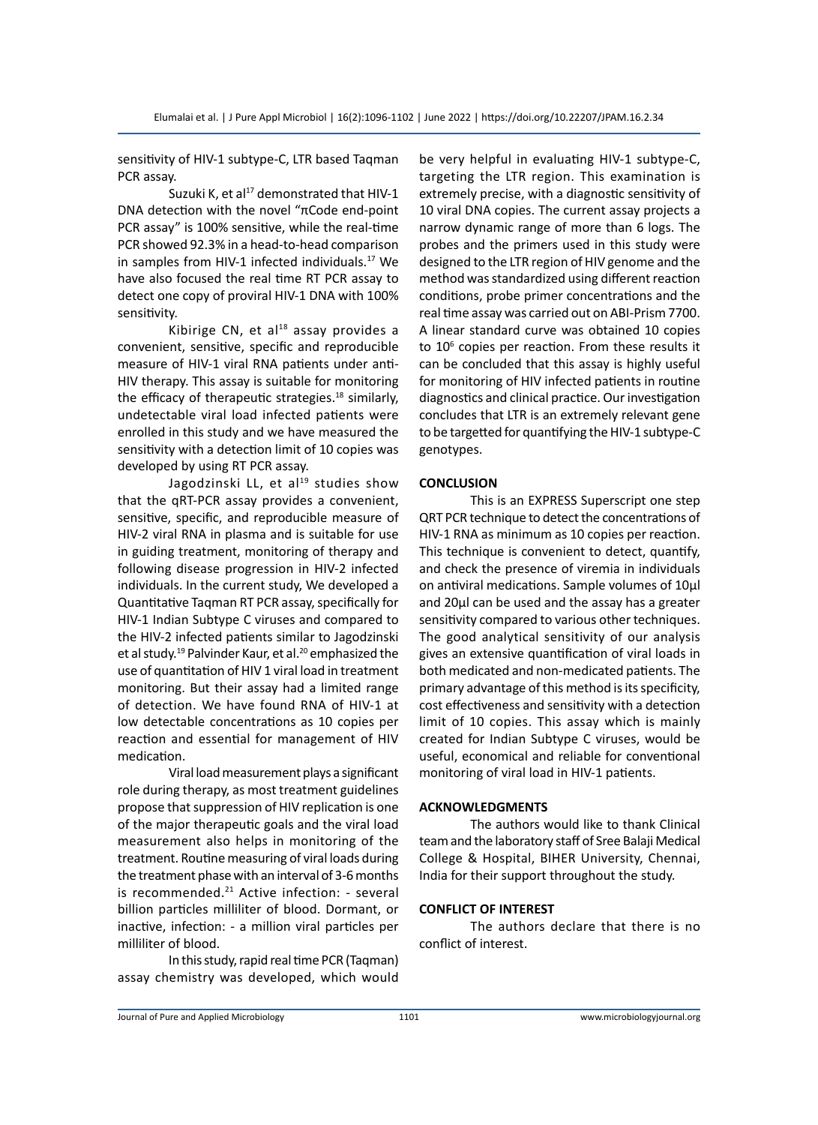sensitivity of HIV-1 subtype-C, LTR based Taqman PCR assay.

Suzuki K, et al $^{17}$  demonstrated that HIV-1 DNA detection with the novel "πCode end-point PCR assay" is 100% sensitive, while the real-time PCR showed 92.3% in a head-to-head comparison in samples from HIV-1 infected individuals.<sup>17</sup> We have also focused the real time RT PCR assay to detect one copy of proviral HIV-1 DNA with 100% sensitivity.

Kibirige CN, et al $18$  assay provides a convenient, sensitive, specific and reproducible measure of HIV-1 viral RNA patients under anti-HIV therapy. This assay is suitable for monitoring the efficacy of therapeutic strategies.<sup>18</sup> similarly, undetectable viral load infected patients were enrolled in this study and we have measured the sensitivity with a detection limit of 10 copies was developed by using RT PCR assay.

Jagodzinski LL, et al $^{19}$  studies show that the qRT-PCR assay provides a convenient, sensitive, specific, and reproducible measure of HIV-2 viral RNA in plasma and is suitable for use in guiding treatment, monitoring of therapy and following disease progression in HIV-2 infected individuals. In the current study, We developed a Quantitative Taqman RT PCR assay, specifically for HIV-1 Indian Subtype C viruses and compared to the HIV-2 infected patients similar to Jagodzinski et al study.<sup>19</sup> Palvinder Kaur, et al.<sup>20</sup> emphasized the use of quantitation of HIV 1 viral load in treatment monitoring. But their assay had a limited range of detection. We have found RNA of HIV-1 at low detectable concentrations as 10 copies per reaction and essential for management of HIV medication.

Viral load measurement plays a significant role during therapy, as most treatment guidelines propose that suppression of HIV replication is one of the major therapeutic goals and the viral load measurement also helps in monitoring of the treatment. Routine measuring of viral loads during the treatment phase with an interval of 3-6 months is recommended.<sup>21</sup> Active infection: - several billion particles milliliter of blood. Dormant, or inactive, infection: - a million viral particles per milliliter of blood.

In this study, rapid real time PCR (Taqman) assay chemistry was developed, which would be very helpful in evaluating HIV-1 subtype-C, targeting the LTR region. This examination is extremely precise, with a diagnostic sensitivity of 10 viral DNA copies. The current assay projects a narrow dynamic range of more than 6 logs. The probes and the primers used in this study were designed to the LTR region of HIV genome and the method was standardized using different reaction conditions, probe primer concentrations and the real time assay was carried out on ABI-Prism 7700. A linear standard curve was obtained 10 copies to 10<sup>6</sup> copies per reaction. From these results it can be concluded that this assay is highly useful for monitoring of HIV infected patients in routine diagnostics and clinical practice. Our investigation concludes that LTR is an extremely relevant gene to be targetted for quantifying the HIV-1 subtype-C genotypes.

# **CONCLUSION**

This is an EXPRESS Superscript one step QRT PCR technique to detect the concentrations of HIV-1 RNA as minimum as 10 copies per reaction. This technique is convenient to detect, quantify, and check the presence of viremia in individuals on antiviral medications. Sample volumes of 10µl and 20µl can be used and the assay has a greater sensitivity compared to various other techniques. The good analytical sensitivity of our analysis gives an extensive quantification of viral loads in both medicated and non-medicated patients. The primary advantage of this method is its specificity, cost effectiveness and sensitivity with a detection limit of 10 copies. This assay which is mainly created for Indian Subtype C viruses, would be useful, economical and reliable for conventional monitoring of viral load in HIV-1 patients.

### **ACKNOWLEDGMENTS**

The authors would like to thank Clinical team and the laboratory staff of Sree Balaji Medical College & Hospital, BIHER University, Chennai, India for their support throughout the study.

# **CONFLICT OF INTEREST**

The authors declare that there is no conflict of interest.